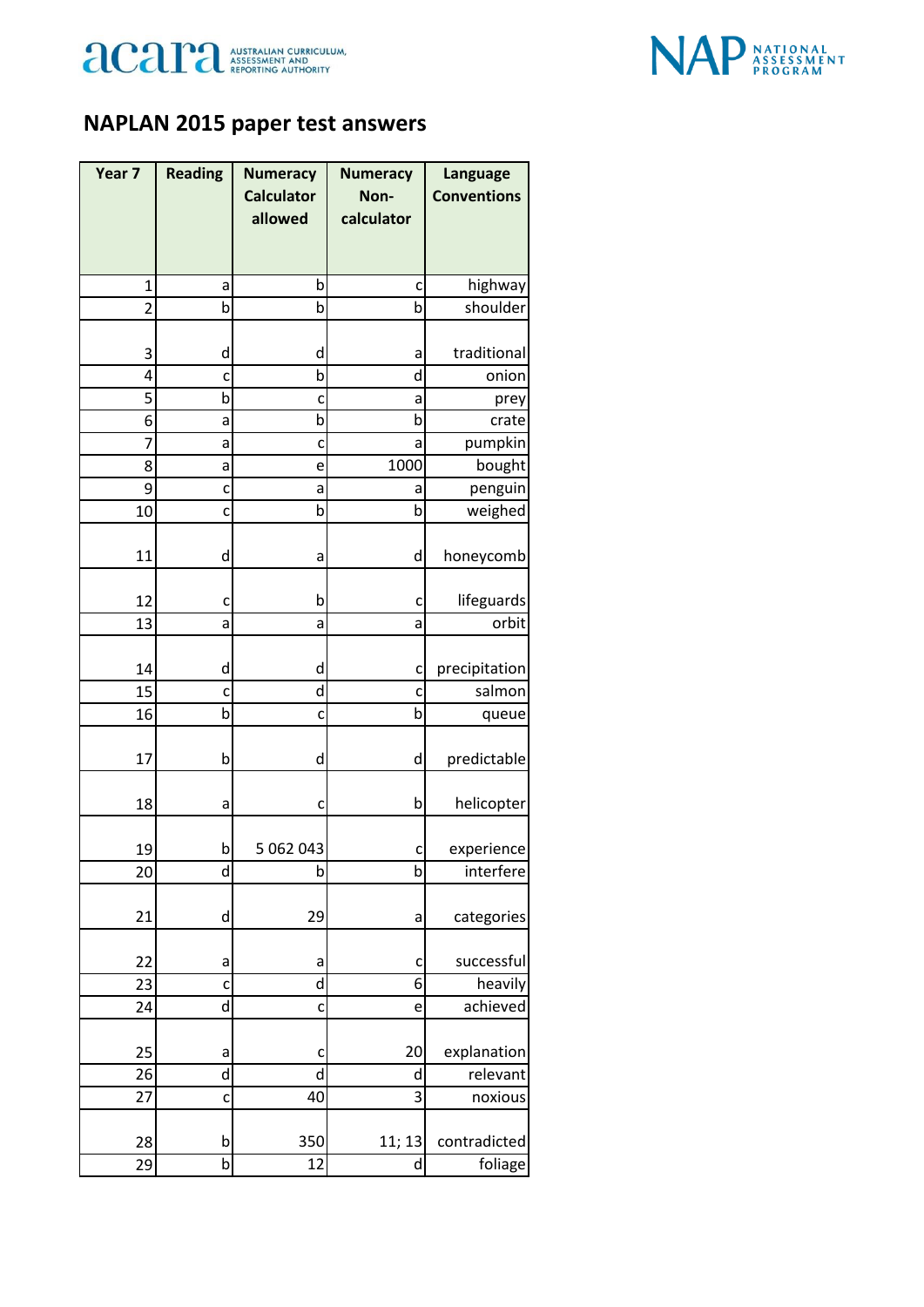



## **NAPLAN 2015 paper test answers**

| Year 7         | <b>Reading</b> | <b>Numeracy</b>   | <b>Numeracy</b> | <b>Language</b>    |
|----------------|----------------|-------------------|-----------------|--------------------|
|                |                | <b>Calculator</b> | Non-            | <b>Conventions</b> |
|                |                | allowed           | calculator      |                    |
|                |                |                   |                 |                    |
| $\mathbf{1}$   | a              | b                 | C               | highway            |
| $\overline{2}$ | b              | b                 | þ               | shoulder           |
|                |                |                   |                 |                    |
| 3              | d              | d                 | a               | traditional        |
| 4              | c              | b                 | d               | onion              |
| 5              | þ              | C                 | a               | prey               |
| 6              | a              | b                 | b               | crate              |
| 7              | a              | C                 | a               | pumpkin            |
| 8              | а              | e                 | 1000            | bought             |
| 9              | C              | a                 | a               | penguin            |
| 10             | C              | b                 | þ               | weighed            |
|                |                |                   |                 |                    |
| 11             | d              | a                 | d               | honeycomb          |
|                |                |                   |                 |                    |
| 12             | c              | b                 | c               | lifeguards         |
| 13             | a              | a                 | a               | orbit              |
| 14             | d              | d                 | C               | precipitation      |
| 15             | C              | d                 | C               | salmon             |
| 16             | þ              | C                 | þ               | queue              |
|                |                |                   |                 |                    |
| 17             | b              | d                 | d               | predictable        |
|                |                |                   |                 |                    |
| 18             | a              | c                 | b               | helicopter         |
|                |                |                   |                 |                    |
| 19             | b              | 5 062 043         | C               | experience         |
| 20             | d              | b                 | b               | interfere          |
|                |                |                   |                 |                    |
| 21             | d              | 29                | a               | categories         |
|                |                |                   |                 |                    |
| 22             | a              | a                 | c               | successful         |
| 23             | C              | d                 | 6               | heavily            |
| 24             | d              | C                 | e               | achieved           |
|                |                |                   |                 |                    |
| 25             | a              | C                 | 20              | explanation        |
| 26             | d              | d                 | d               | relevant           |
| 27             | C              | 40                | 3               | noxious            |
|                |                |                   |                 |                    |
| 28             | b              | 350               | 11; 13          | contradicted       |
| 29             | b              | 12                | d               | foliage            |